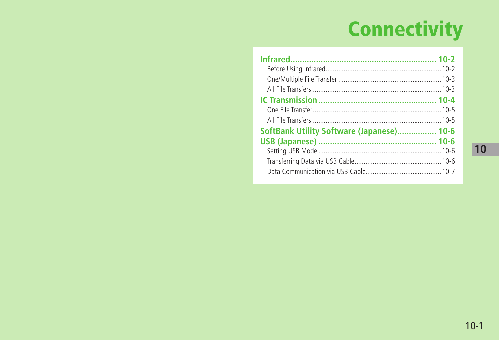# **Connectivity**

| SoftBank Utility Software (Japanese) 10-6 |  |  |
|-------------------------------------------|--|--|
|                                           |  |  |
|                                           |  |  |
|                                           |  |  |
|                                           |  |  |
|                                           |  |  |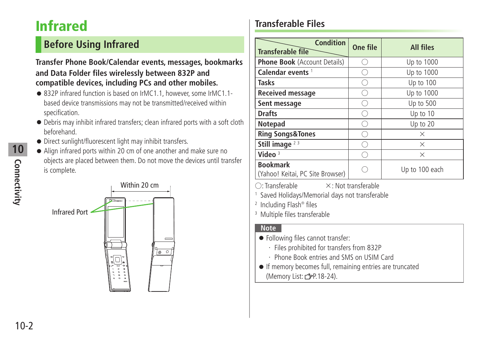# <span id="page-1-0"></span>**Infrared**

# **Before Using Infrared**

#### **Transfer Phone Book/Calendar events, messages, bookmarks and Data Folder files wirelessly between 832P and compatible devices, including PCs and other mobiles.**

- 832P infrared function is based on IrMC1.1, however, some IrMC1.1based device transmissions may not be transmitted/received within specification.
- Debris may inhibit infrared transfers; clean infrared ports with a soft cloth beforehand.
- Direct sunlight/fluorescent light may inhibit transfers.
- Align infrared ports within 20 cm of one another and make sure no objects are placed between them. Do not move the devices until transfer is complete.



## **Transferable Files**

| <b>Condition</b><br><b>Transferable file</b>        | One file | <b>All files</b> |
|-----------------------------------------------------|----------|------------------|
| <b>Phone Book</b> (Account Details)                 |          | Up to 1000       |
| Calendar events <sup>1</sup>                        |          | Up to 1000       |
| <b>Tasks</b>                                        |          | Up to 100        |
| <b>Received message</b>                             |          | Up to 1000       |
| Sent message                                        |          | Up to 500        |
| <b>Drafts</b>                                       |          | Up to 10         |
| Notepad                                             |          | Up to 20         |
| <b>Ring Songs&amp;Tones</b>                         |          | $\times$         |
| Still image $23$                                    |          | $\times$         |
| Video $3$                                           |          | X                |
| <b>Bookmark</b><br>(Yahoo! Keitai, PC Site Browser) |          | Up to 100 each   |

 $\bigcirc$ : Transferable  $\qquad \times$ : Not transferable

1 Saved Holidays/Memorial days not transferable

2 Including Flash® files

3 Multiple files transferable

#### **Note**

- Following files cannot transfer:
	- ・ Files prohibited for transfers from 832P
	- ・ Phone Book entries and SMS on USIM Card
- If memory becomes full, remaining entries are truncated (Memory List:  $\mathcal{F}$ P.18-24).

**10**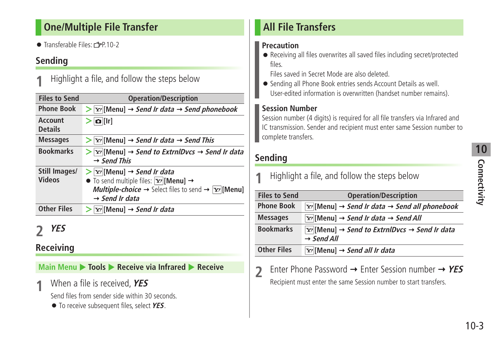#### <span id="page-2-0"></span>**One/Multiple File Transfer**

• Transferable Files:  $\sqrt{P}P$  10-2

#### **Sending**

**1** Highlight a file, and follow the steps below

| <b>Files to Send</b>             | <b>Operation/Description</b>                                                                                                                                                                                                                                               |
|----------------------------------|----------------------------------------------------------------------------------------------------------------------------------------------------------------------------------------------------------------------------------------------------------------------------|
| <b>Phone Book</b>                | $\triangleright$ $\triangleright$ [Menu] $\rightarrow$ Send Ir data $\rightarrow$ Send phonebook                                                                                                                                                                           |
| <b>Account</b><br><b>Details</b> | $\Omega$ [Ir]                                                                                                                                                                                                                                                              |
| <b>Messages</b>                  | $\triangleright$ $\triangleright$ [Menu] $\rightarrow$ Send Ir data $\rightarrow$ Send This                                                                                                                                                                                |
| <b>Bookmarks</b>                 | $\triangleright$ $\triangleright$ [Menu] $\rightarrow$ Send to ExtrnlDvcs $\rightarrow$ Send Ir data<br>$\rightarrow$ Send This                                                                                                                                            |
| Still Images/<br>Videos          | $\triangleright$ $\triangleright$ [Menu] $\rightarrow$ Send Ir data<br>$\bullet$ To send multiple files: $\boxed{\mathbf{Y}'}$ [Menu] $\rightarrow$<br><b>Multiple-choice</b> $\rightarrow$ Select files to send $\rightarrow \infty$ [Menu]<br>$\rightarrow$ Send Ir data |
| <b>Other Files</b>               | $ \mathbf{x}$ [Menu] $\rightarrow$ Send Ir data                                                                                                                                                                                                                            |

# **2 YES**

#### **Receiving**

**Main Menu ▶ Tools ▶ Receive via Infrared ▶ Receive** 

**1** When a file is received, **YES**

Send files from sender side within 30 seconds.

● To receive subsequent files, select **YES**.

## **All File Transfers**

#### **Precaution**

● Receiving all files overwrites all saved files including secret/protected files.

Files saved in Secret Mode are also deleted.

● Sending all Phone Book entries sends Account Details as well. User-edited information is overwritten (handset number remains).

#### **Session Number**

Session number (4 digits) is required for all file transfers via Infrared and IC transmission. Sender and recipient must enter same Session number to complete transfers.

#### **Sending**

| Highlight a file, and follow the steps below |                                                                                                                         |  |
|----------------------------------------------|-------------------------------------------------------------------------------------------------------------------------|--|
| <b>Files to Send</b>                         | <b>Operation/Description</b>                                                                                            |  |
| <b>Phone Book</b>                            | $\lvert \mathbf{y}_i \rvert$ [Menu] $\rightarrow$ Send Ir data $\rightarrow$ Send all phonebook                         |  |
| <b>Messages</b>                              | $ \mathbf{x} $ [Menu] $\rightarrow$ Send Ir data $\rightarrow$ Send All                                                 |  |
| <b>Bookmarks</b>                             | $\lbrack \nabla r \rbrack$ [Menu] $\rightarrow$ Send to ExtrnlDvcs $\rightarrow$ Send Ir data<br>$\rightarrow$ Send All |  |
| <b>Other Files</b>                           | $\overline{Y}$ [Menu] $\rightarrow$ Send all Ir data                                                                    |  |

**2** Enter Phone Password → Enter Session number → YES Recipient must enter the same Session number to start transfers.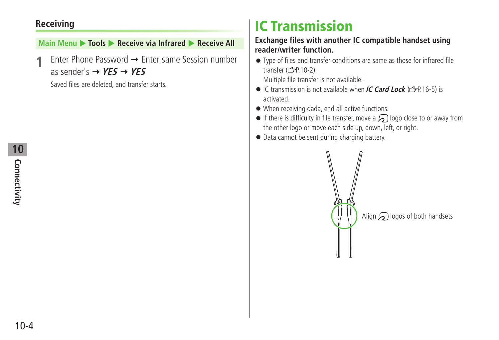#### <span id="page-3-0"></span>**Receiving**

#### **Main Menu ▶ Tools ▶ Receive via Infrared ▶ Receive All**

Enter Phone Password → Enter same Session number as sender's  $\rightarrow$  **YES**  $\rightarrow$  **YES** 

Saved files are deleted, and transfer starts.

# **IC Transmission**

#### **Exchange files with another IC compatible handset using reader/writer function.**

● Type of files and transfer conditions are same as those for infrared file transfer  $(\mathcal{I}$ P.10-2).

Multiple file transfer is not available.

- IC transmission is not available when **IC Card Lock** (C<sub>J</sub>P 16-5) is activated.
- When receiving dada, end all active functions.
- $\bullet$  If there is difficulty in file transfer, move a  $\bigcap$  logo close to or away from the other logo or move each side up, down, left, or right.
- Data cannot be sent during charging battery.

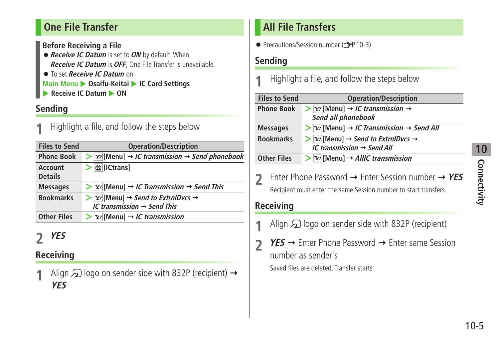## <span id="page-4-0"></span>**One File Transfer**

**Before Receiving a File**

- ●**Receive IC Datum** is set to **ON** by default. When **Receive IC Datum** is **OFF**, One File Transfer is unavailable. ● To set **Receive IC Datum** on:
- **Main Menu > Osaifu-Keitai > IC Card Settings**
- **Receive IC Datum**  $\triangleright$  **ON**

### **Sending**

**1** Highlight a file, and follow the steps below

| <b>Files to Send</b>      | <b>Operation/Description</b>                                                                                                               |
|---------------------------|--------------------------------------------------------------------------------------------------------------------------------------------|
| <b>Phone Book</b>         | $\triangleright$ $\triangleright$ [Menu] $\rightarrow$ <i>IC transmission <math>\rightarrow</math> Send phonebook</i>                      |
| Account<br><b>Details</b> | il [ICtrans]                                                                                                                               |
| <b>Messages</b>           | $\triangleright$ $\vert$ $\triangleright$ $\vert$ $\vert$ Menu $\vert$ $\rightarrow$ <i>IC Transmission</i> $\rightarrow$ <i>Send This</i> |
| <b>Bookmarks</b>          | $>$ $\vert y \vert$ [Menu] $\rightarrow$ Send to ExtrnlDvcs $\rightarrow$<br>IC transmission $\rightarrow$ Send This                       |
| <b>Other Files</b>        | $>$ $\vert$ Y' [Menu] $\rightarrow$ <i>IC transmission</i>                                                                                 |

# **2 YES**

# **Receiving**

Align  $\mathfrak D$  logo on sender side with 832P (recipient)  $\rightarrow$ **YES**

# **All File Transfers**

● Precautions/Session number (19P.10-3)

#### **Sending**

**1** Highlight a file, and follow the steps below

| <b>Operation/Description</b>                                                                  |
|-----------------------------------------------------------------------------------------------|
| $>$ $\vert$ $\vert$ $\vert$ Menu $\vert$ $\rightarrow$ <i>IC transmission</i> $\rightarrow$   |
| Send all phonebook                                                                            |
| $\triangleright$ $\triangleright$ [Menu] $\rightarrow$ IC Transmission $\rightarrow$ Send All |
| $\triangleright$ $\triangleright$ [Menu] $\rightarrow$ Send to ExtrnlDvcs $\rightarrow$       |
| IC transmission $\rightarrow$ Send All                                                        |
| $>  Y $ [Menu] $\rightarrow$ AllIC transmission                                               |
|                                                                                               |

**2** Enter Phone Password → Enter Session number → YES Recipient must enter the same Session number to start transfers.

## **Receiving**

- Align  $\Omega$  logo on sender side with 832P (recipient)
- **2 YES** → Enter Phone Password → Enter same Session number as sender's Saved files are deleted. Transfer starts.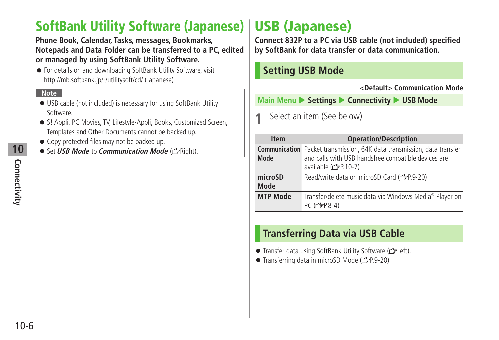# <span id="page-5-0"></span>**SoftBank Utility Software (Japanese) USB (Japanese)**

**Phone Book, Calendar, Tasks, messages, Bookmarks, Notepads and Data Folder can be transferred to a PC, edited or managed by using SoftBank Utility Software.**

● For details on and downloading SoftBank Utility Software, visit http://mb.softbank.jp/r/utilitysoft/cd/ (Japanese)

#### **Note**

- USB cable (not included) is necessary for using SoftBank Utility Software.
- S! Appli, PC Movies, TV, Lifestyle-Appli, Books, Customized Screen, Templates and Other Documents cannot be backed up.
- Copy protected files may not be backed up.
- **Set USB Mode to Communication Mode** ( $\mathcal{F}$ Right).

**Connect 832P to a PC via USB cable (not included) specified by SoftBank for data transfer or data communication.**

#### **Setting USB Mode**

**<Default> Communication Mode**

**Main Menu > Settings > Connectivity > USB Mode** 

**1** Select an item (See below)

| <b>Item</b>            | <b>Operation/Description</b>                                                                                                                                   |
|------------------------|----------------------------------------------------------------------------------------------------------------------------------------------------------------|
| Mode                   | <b>Communication</b> Packet transmission, 64K data transmission, data transfer<br>and calls with USB handsfree compatible devices are<br>available (rep. 10-7) |
| microSD<br><b>Mode</b> | Read/write data on microSD Card (repr.9-20)                                                                                                                    |
| <b>MTP Mode</b>        | Transfer/delete music data via Windows Media® Player on<br>PC (仁子P.8-4)                                                                                        |

#### **Transferring Data via USB Cable**

- Transfer data using SoftBank Utility Software (calleft).
- $\bullet$  Transferring data in microSD Mode ( $\rightarrow$ P.9-20)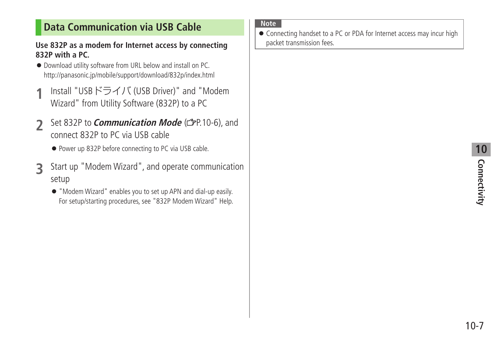# <span id="page-6-0"></span>**Data Communication via USB Cable**

#### **Use 832P as a modem for Internet access by connecting 832P with a PC.**

- Download utility software from URL below and install on PC. http://panasonic.jp/mobile/support/download/832p/index.html
- **1** Install "USBドライバ (USB Driver)" and "Modem Wizard" from Utility Software (832P) to a PC
- **2** Set 832P to *Communication Mode* (CPP.10-6), and connect 832P to PC via USB cable
	- Power up 832P before connecting to PC via USB cable.
- **3** Start up "Modem Wizard", and operate communication setup
	- "Modem Wizard" enables you to set up APN and dial-up easily. For setup/starting procedures, see "832P Modem Wizard" Help.

#### **Note**

● Connecting handset to a PC or PDA for Internet access may incur high packet transmission fees.